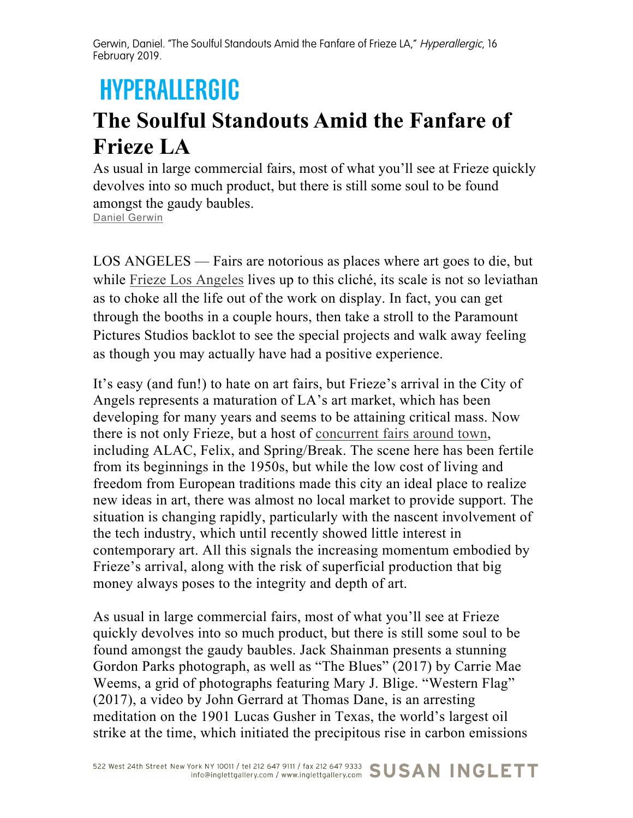Gerwin, Daniel. "The Soulful Standouts Amid the Fanfare of Frieze LA," Hyperallergic, 16 February 2019.

## **HYPERALLERGIC**

## **The Soulful Standouts Amid the Fanfare of Frieze LA**

As usual in large commercial fairs, most of what you'll see at Frieze quickly devolves into so much product, but there is still some soul to be found amongst the gaudy baubles. Daniel Gerwin

LOS ANGELES — Fairs are notorious as places where art goes to die, but while Frieze Los Angeles lives up to this cliché, its scale is not so leviathan as to choke all the life out of the work on display. In fact, you can get through the booths in a couple hours, then take a stroll to the Paramount Pictures Studios backlot to see the special projects and walk away feeling as though you may actually have had a positive experience.

It's easy (and fun!) to hate on art fairs, but Frieze's arrival in the City of Angels represents a maturation of LA's art market, which has been developing for many years and seems to be attaining critical mass. Now there is not only Frieze, but a host of concurrent fairs around town, including ALAC, Felix, and Spring/Break. The scene here has been fertile from its beginnings in the 1950s, but while the low cost of living and freedom from European traditions made this city an ideal place to realize new ideas in art, there was almost no local market to provide support. The situation is changing rapidly, particularly with the nascent involvement of the tech industry, which until recently showed little interest in contemporary art. All this signals the increasing momentum embodied by Frieze's arrival, along with the risk of superficial production that big money always poses to the integrity and depth of art.

As usual in large commercial fairs, most of what you'll see at Frieze quickly devolves into so much product, but there is still some soul to be found amongst the gaudy baubles. Jack Shainman presents a stunning Gordon Parks photograph, as well as "The Blues" (2017) by Carrie Mae Weems, a grid of photographs featuring Mary J. Blige. "Western Flag" (2017), a video by John Gerrard at Thomas Dane, is an arresting meditation on the 1901 Lucas Gusher in Texas, the world's largest oil strike at the time, which initiated the precipitous rise in carbon emissions